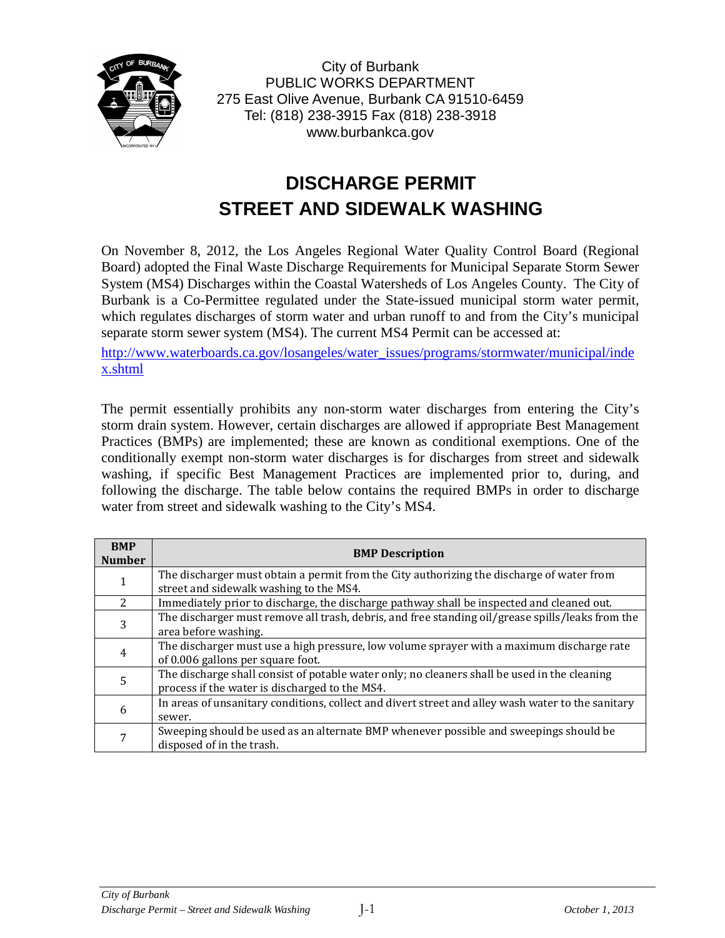

City of Burbank PUBLIC WORKS DEPARTMENT 275 East Olive Avenue, Burbank CA 91510-6459 Tel: (818) 238-3915 Fax (818) 238-3918 www.burbankca.gov

## **DISCHARGE PERMIT STREET AND SIDEWALK WASHING**

On November 8, 2012, the Los Angeles Regional Water Quality Control Board (Regional Board) adopted the Final Waste Discharge Requirements for Municipal Separate Storm Sewer System (MS4) Discharges within the Coastal Watersheds of Los Angeles County. The City of Burbank is a Co-Permittee regulated under the State-issued municipal storm water permit, which regulates discharges of storm water and urban runoff to and from the City's municipal separate storm sewer system (MS4). The current MS4 Permit can be accessed at:

[http://www.waterboards.ca.gov/losangeles/water\\_issues/programs/stormwater/municipal/inde](http://www.waterboards.ca.gov/losangeles/water_issues/programs/stormwater/municipal/index.shtml) [x.shtml](http://www.waterboards.ca.gov/losangeles/water_issues/programs/stormwater/municipal/index.shtml)

The permit essentially prohibits any non-storm water discharges from entering the City's storm drain system. However, certain discharges are allowed if appropriate Best Management Practices (BMPs) are implemented; these are known as conditional exemptions. One of the conditionally exempt non-storm water discharges is for discharges from street and sidewalk washing, if specific Best Management Practices are implemented prior to, during, and following the discharge. The table below contains the required BMPs in order to discharge water from street and sidewalk washing to the City's MS4.

| <b>BMP</b><br><b>Number</b> | <b>BMP Description</b>                                                                                                                         |
|-----------------------------|------------------------------------------------------------------------------------------------------------------------------------------------|
|                             | The discharger must obtain a permit from the City authorizing the discharge of water from<br>street and sidewalk washing to the MS4.           |
| $2^{\circ}$                 | Immediately prior to discharge, the discharge pathway shall be inspected and cleaned out.                                                      |
| 3                           | The discharger must remove all trash, debris, and free standing oil/grease spills/leaks from the<br>area before washing.                       |
| 4                           | The discharger must use a high pressure, low volume sprayer with a maximum discharge rate<br>of 0.006 gallons per square foot.                 |
| 5                           | The discharge shall consist of potable water only; no cleaners shall be used in the cleaning<br>process if the water is discharged to the MS4. |
| 6                           | In areas of unsanitary conditions, collect and divert street and alley wash water to the sanitary<br>sewer.                                    |
|                             | Sweeping should be used as an alternate BMP whenever possible and sweepings should be<br>disposed of in the trash.                             |